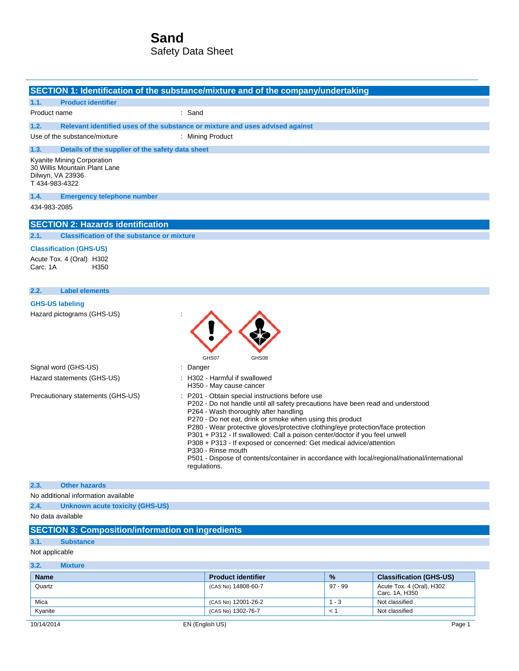|                                                                                                   | SECTION 1: Identification of the substance/mixture and of the company/undertaking                                                                                                                                                                                                                                                                                                                                                                                                                                                                                                                                        |
|---------------------------------------------------------------------------------------------------|--------------------------------------------------------------------------------------------------------------------------------------------------------------------------------------------------------------------------------------------------------------------------------------------------------------------------------------------------------------------------------------------------------------------------------------------------------------------------------------------------------------------------------------------------------------------------------------------------------------------------|
| <b>Product identifier</b><br>1.1.                                                                 |                                                                                                                                                                                                                                                                                                                                                                                                                                                                                                                                                                                                                          |
| Product name                                                                                      | : Sand                                                                                                                                                                                                                                                                                                                                                                                                                                                                                                                                                                                                                   |
| 1.2.                                                                                              | Relevant identified uses of the substance or mixture and uses advised against                                                                                                                                                                                                                                                                                                                                                                                                                                                                                                                                            |
| Use of the substance/mixture                                                                      | : Mining Product                                                                                                                                                                                                                                                                                                                                                                                                                                                                                                                                                                                                         |
| 1.3.<br>Details of the supplier of the safety data sheet                                          |                                                                                                                                                                                                                                                                                                                                                                                                                                                                                                                                                                                                                          |
| Kyanite Mining Corporation<br>30 Willis Mountain Plant Lane<br>Dilwyn, VA 23936<br>T 434-983-4322 |                                                                                                                                                                                                                                                                                                                                                                                                                                                                                                                                                                                                                          |
| 1.4.<br><b>Emergency telephone number</b>                                                         |                                                                                                                                                                                                                                                                                                                                                                                                                                                                                                                                                                                                                          |
| 434-983-2085                                                                                      |                                                                                                                                                                                                                                                                                                                                                                                                                                                                                                                                                                                                                          |
| <b>SECTION 2: Hazards identification</b>                                                          |                                                                                                                                                                                                                                                                                                                                                                                                                                                                                                                                                                                                                          |
| 2.1.<br><b>Classification of the substance or mixture</b>                                         |                                                                                                                                                                                                                                                                                                                                                                                                                                                                                                                                                                                                                          |
| <b>Classification (GHS-US)</b>                                                                    |                                                                                                                                                                                                                                                                                                                                                                                                                                                                                                                                                                                                                          |
| Acute Tox. 4 (Oral) H302<br>Carc. 1A<br>H350                                                      |                                                                                                                                                                                                                                                                                                                                                                                                                                                                                                                                                                                                                          |
| 2.2.<br><b>Label elements</b>                                                                     |                                                                                                                                                                                                                                                                                                                                                                                                                                                                                                                                                                                                                          |
| <b>GHS-US labeling</b>                                                                            |                                                                                                                                                                                                                                                                                                                                                                                                                                                                                                                                                                                                                          |
| Hazard pictograms (GHS-US)                                                                        | GHS07<br>GHS08                                                                                                                                                                                                                                                                                                                                                                                                                                                                                                                                                                                                           |
| Signal word (GHS-US)                                                                              | Danger                                                                                                                                                                                                                                                                                                                                                                                                                                                                                                                                                                                                                   |
| Hazard statements (GHS-US)                                                                        | : H302 - Harmful if swallowed<br>H350 - May cause cancer                                                                                                                                                                                                                                                                                                                                                                                                                                                                                                                                                                 |
| Precautionary statements (GHS-US)                                                                 | : P201 - Obtain special instructions before use<br>P202 - Do not handle until all safety precautions have been read and understood<br>P264 - Wash thoroughly after handling<br>P270 - Do not eat, drink or smoke when using this product<br>P280 - Wear protective gloves/protective clothing/eye protection/face protection<br>P301 + P312 - If swallowed: Call a poison center/doctor if you feel unwell<br>P308 + P313 - If exposed or concerned: Get medical advice/attention<br>P330 - Rinse mouth<br>P501 - Dispose of contents/container in accordance with local/regional/national/international<br>regulations. |
| 2.3.<br><b>Other hazards</b>                                                                      |                                                                                                                                                                                                                                                                                                                                                                                                                                                                                                                                                                                                                          |
| No additional information available                                                               |                                                                                                                                                                                                                                                                                                                                                                                                                                                                                                                                                                                                                          |
| 2.4.<br><b>Unknown acute toxicity (GHS-US)</b>                                                    |                                                                                                                                                                                                                                                                                                                                                                                                                                                                                                                                                                                                                          |
| No data available                                                                                 |                                                                                                                                                                                                                                                                                                                                                                                                                                                                                                                                                                                                                          |
| <b>SECTION 3: Composition/information on ingredients</b>                                          |                                                                                                                                                                                                                                                                                                                                                                                                                                                                                                                                                                                                                          |
| 3.1.<br><b>Substance</b>                                                                          |                                                                                                                                                                                                                                                                                                                                                                                                                                                                                                                                                                                                                          |

### Not applicable

### **3.2. Mixture**

| <b>Name</b> | <b>Product identifier</b> | $\frac{9}{6}$ | <b>Classification (GHS-US)</b>              |
|-------------|---------------------------|---------------|---------------------------------------------|
| Quartz      | (CAS No) 14808-60-7       | 97 - 99       | Acute Tox. 4 (Oral), H302<br>Carc. 1A. H350 |
| Mica        | (CAS No) 12001-26-2       | - 3           | Not classified                              |
| Kyanite     | (CAS No) 1302-76-7        | $\hat{}$      | Not classified                              |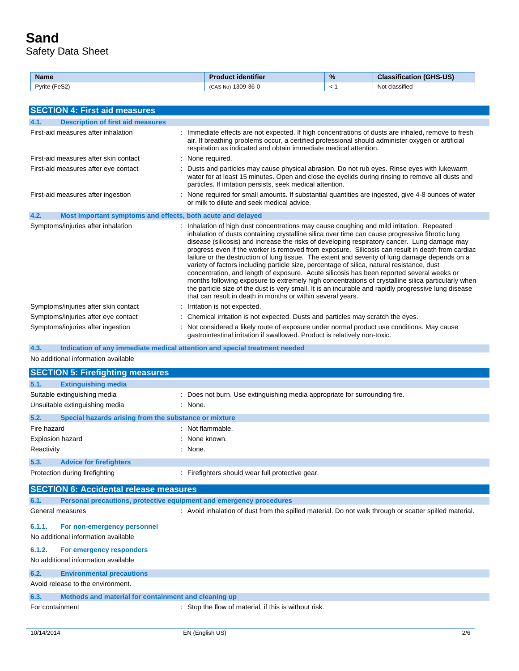| <b>Name</b>                                                   | identifier                   | % | <b>GHS-US</b><br>$-0.01$<br>$\sim$ |
|---------------------------------------------------------------|------------------------------|---|------------------------------------|
| $\overline{\phantom{0}}$<br>$\sim$ $\sim$<br>Pyrite<br>. eɔ∠' | 1309-36-0<br>:AS No)<br>(CAS |   | $\cdots$<br>Not classifieo         |

| <b>SECTION 4: First aid measures</b>                                |                                                                                                                                                                                                                                                                                                                                                                                                                                                                                                                                                                                                                                                                                                                                                                                                                                                                                                                                                                            |
|---------------------------------------------------------------------|----------------------------------------------------------------------------------------------------------------------------------------------------------------------------------------------------------------------------------------------------------------------------------------------------------------------------------------------------------------------------------------------------------------------------------------------------------------------------------------------------------------------------------------------------------------------------------------------------------------------------------------------------------------------------------------------------------------------------------------------------------------------------------------------------------------------------------------------------------------------------------------------------------------------------------------------------------------------------|
| <b>Description of first aid measures</b><br>4.1.                    |                                                                                                                                                                                                                                                                                                                                                                                                                                                                                                                                                                                                                                                                                                                                                                                                                                                                                                                                                                            |
| First-aid measures after inhalation                                 | : Immediate effects are not expected. If high concentrations of dusts are inhaled, remove to fresh<br>air. If breathing problems occur, a certified professional should administer oxygen or artificial<br>respiration as indicated and obtain immediate medical attention.                                                                                                                                                                                                                                                                                                                                                                                                                                                                                                                                                                                                                                                                                                |
| First-aid measures after skin contact                               | : None required.                                                                                                                                                                                                                                                                                                                                                                                                                                                                                                                                                                                                                                                                                                                                                                                                                                                                                                                                                           |
| First-aid measures after eye contact                                | : Dusts and particles may cause physical abrasion. Do not rub eyes. Rinse eyes with lukewarm<br>water for at least 15 minutes. Open and close the eyelids during rinsing to remove all dusts and<br>particles. If irritation persists, seek medical attention.                                                                                                                                                                                                                                                                                                                                                                                                                                                                                                                                                                                                                                                                                                             |
| First-aid measures after ingestion                                  | : None required for small amounts. If substantial quantities are ingested, give 4-8 ounces of water<br>or milk to dilute and seek medical advice.                                                                                                                                                                                                                                                                                                                                                                                                                                                                                                                                                                                                                                                                                                                                                                                                                          |
| 4.2.<br>Most important symptoms and effects, both acute and delayed |                                                                                                                                                                                                                                                                                                                                                                                                                                                                                                                                                                                                                                                                                                                                                                                                                                                                                                                                                                            |
| Symptoms/injuries after inhalation                                  | : Inhalation of high dust concentrations may cause coughing and mild irritation. Repeated<br>inhalation of dusts containing crystalline silica over time can cause progressive fibrotic lung<br>disease (silicosis) and increase the risks of developing respiratory cancer. Lung damage may<br>progress even if the worker is removed from exposure. Silicosis can result in death from cardiac<br>failure or the destruction of lung tissue. The extent and severity of lung damage depends on a<br>variety of factors including particle size, percentage of silica, natural resistance, dust<br>concentration, and length of exposure. Acute silicosis has been reported several weeks or<br>months following exposure to extremely high concentrations of crystalline silica particularly when<br>the particle size of the dust is very small. It is an incurable and rapidly progressive lung disease<br>that can result in death in months or within several years. |
| Symptoms/injuries after skin contact                                | : Irritation is not expected.                                                                                                                                                                                                                                                                                                                                                                                                                                                                                                                                                                                                                                                                                                                                                                                                                                                                                                                                              |
| Symptoms/injuries after eye contact                                 | : Chemical irritation is not expected. Dusts and particles may scratch the eyes.                                                                                                                                                                                                                                                                                                                                                                                                                                                                                                                                                                                                                                                                                                                                                                                                                                                                                           |
| Symptoms/injuries after ingestion                                   | : Not considered a likely route of exposure under normal product use conditions. May cause                                                                                                                                                                                                                                                                                                                                                                                                                                                                                                                                                                                                                                                                                                                                                                                                                                                                                 |

**4.3. Indication of any immediate medical attention and special treatment needed**

No additional information available

|                         | <b>SECTION 5: Firefighting measures</b>               |                                                                            |
|-------------------------|-------------------------------------------------------|----------------------------------------------------------------------------|
| 5.1.                    | <b>Extinguishing media</b>                            |                                                                            |
|                         | Suitable extinguishing media                          | : Does not burn. Use extinguishing media appropriate for surrounding fire. |
|                         | Unsuitable extinguishing media                        | : None.                                                                    |
| 5.2.                    | Special hazards arising from the substance or mixture |                                                                            |
| Fire hazard             |                                                       | : Not flammable.                                                           |
| <b>Explosion hazard</b> |                                                       | : None known.                                                              |
| Reactivity              |                                                       | : None.                                                                    |
| 5.3.                    | <b>Advice for firefighters</b>                        |                                                                            |
|                         | Protection during firefighting                        | : Firefighters should wear full protective gear.                           |

gastrointestinal irritation if swallowed. Product is relatively non-toxic.

|                 | <b>SECTION 6: Accidental release measures</b>                       |                                                                                                        |  |
|-----------------|---------------------------------------------------------------------|--------------------------------------------------------------------------------------------------------|--|
| 6.1.            | Personal precautions, protective equipment and emergency procedures |                                                                                                        |  |
|                 | General measures                                                    | : Avoid inhalation of dust from the spilled material. Do not walk through or scatter spilled material. |  |
| 6.1.1.          | For non-emergency personnel<br>No additional information available  |                                                                                                        |  |
| 6.1.2.          | For emergency responders<br>No additional information available     |                                                                                                        |  |
| 6.2.            | <b>Environmental precautions</b>                                    |                                                                                                        |  |
|                 | Avoid release to the environment.                                   |                                                                                                        |  |
| 6.3.            | Methods and material for containment and cleaning up                |                                                                                                        |  |
| For containment |                                                                     | : Stop the flow of material, if this is without risk.                                                  |  |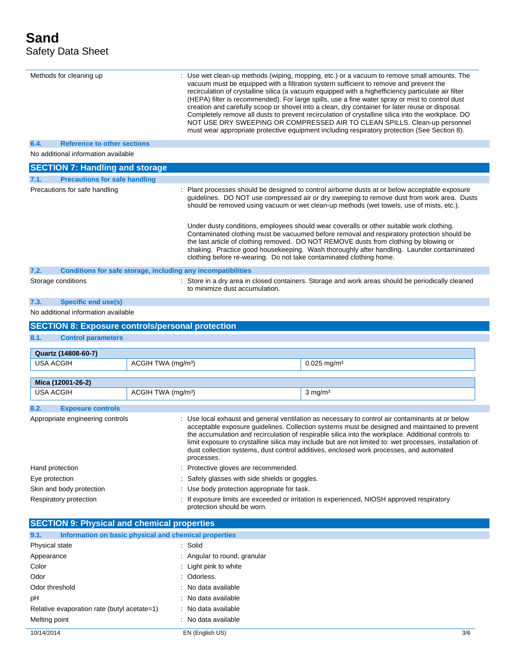$\overline{a}$ 

|                  | Methods for cleaning up                                 |                                |                                                                     | : Use wet clean-up methods (wiping, mopping, etc.) or a vacuum to remove small amounts. The<br>vacuum must be equipped with a filtration system sufficient to remove and prevent the<br>recirculation of crystalline silica (a vacuum equipped with a highefficiency particulate air filter<br>(HEPA) filter is recommended). For large spills, use a fine water spray or mist to control dust<br>creation and carefully scoop or shovel into a clean, dry container for later reuse or disposal.<br>Completely remove all dusts to prevent recirculation of crystalline silica into the workplace. DO<br>NOT USE DRY SWEEPING OR COMPRESSED AIR TO CLEAN SPILLS. Clean-up personnel<br>must wear appropriate protective equipment including respiratory protection (See Section 8). |
|------------------|---------------------------------------------------------|--------------------------------|---------------------------------------------------------------------|--------------------------------------------------------------------------------------------------------------------------------------------------------------------------------------------------------------------------------------------------------------------------------------------------------------------------------------------------------------------------------------------------------------------------------------------------------------------------------------------------------------------------------------------------------------------------------------------------------------------------------------------------------------------------------------------------------------------------------------------------------------------------------------|
| 6.4.             | <b>Reference to other sections</b>                      |                                |                                                                     |                                                                                                                                                                                                                                                                                                                                                                                                                                                                                                                                                                                                                                                                                                                                                                                      |
|                  | No additional information available                     |                                |                                                                     |                                                                                                                                                                                                                                                                                                                                                                                                                                                                                                                                                                                                                                                                                                                                                                                      |
|                  | <b>SECTION 7: Handling and storage</b>                  |                                |                                                                     |                                                                                                                                                                                                                                                                                                                                                                                                                                                                                                                                                                                                                                                                                                                                                                                      |
| 7.1.             | <b>Precautions for safe handling</b>                    |                                |                                                                     |                                                                                                                                                                                                                                                                                                                                                                                                                                                                                                                                                                                                                                                                                                                                                                                      |
|                  | Precautions for safe handling                           |                                |                                                                     | : Plant processes should be designed to control airborne dusts at or below acceptable exposure<br>guidelines. DO NOT use compressed air or dry sweeping to remove dust from work area. Dusts<br>should be removed using vacuum or wet clean-up methods (wet towels, use of mists, etc.).<br>Under dusty conditions, employees should wear coveralls or other suitable work clothing.<br>Contaminated clothing must be vacuumed before removal and respiratory protection should be                                                                                                                                                                                                                                                                                                   |
|                  |                                                         |                                | clothing before re-wearing. Do not take contaminated clothing home. | the last article of clothing removed. DO NOT REMOVE dusts from clothing by blowing or<br>shaking. Practice good housekeeping. Wash thoroughly after handling. Launder contaminated                                                                                                                                                                                                                                                                                                                                                                                                                                                                                                                                                                                                   |
| 7.2.             |                                                         |                                | Conditions for safe storage, including any incompatibilities        |                                                                                                                                                                                                                                                                                                                                                                                                                                                                                                                                                                                                                                                                                                                                                                                      |
|                  | Storage conditions                                      |                                | to minimize dust accumulation.                                      | : Store in a dry area in closed containers. Storage and work areas should be periodically cleaned                                                                                                                                                                                                                                                                                                                                                                                                                                                                                                                                                                                                                                                                                    |
| 7.3.             | Specific end use(s)                                     |                                |                                                                     |                                                                                                                                                                                                                                                                                                                                                                                                                                                                                                                                                                                                                                                                                                                                                                                      |
|                  | No additional information available                     |                                |                                                                     |                                                                                                                                                                                                                                                                                                                                                                                                                                                                                                                                                                                                                                                                                                                                                                                      |
|                  | <b>SECTION 8: Exposure controls/personal protection</b> |                                |                                                                     |                                                                                                                                                                                                                                                                                                                                                                                                                                                                                                                                                                                                                                                                                                                                                                                      |
| 8.1.             | <b>Control parameters</b>                               |                                |                                                                     |                                                                                                                                                                                                                                                                                                                                                                                                                                                                                                                                                                                                                                                                                                                                                                                      |
|                  |                                                         |                                |                                                                     |                                                                                                                                                                                                                                                                                                                                                                                                                                                                                                                                                                                                                                                                                                                                                                                      |
|                  | Quartz (14808-60-7)                                     |                                |                                                                     |                                                                                                                                                                                                                                                                                                                                                                                                                                                                                                                                                                                                                                                                                                                                                                                      |
| <b>USA ACGIH</b> |                                                         | ACGIH TWA (mg/m <sup>3</sup> ) |                                                                     | $0.025$ mg/m <sup>3</sup>                                                                                                                                                                                                                                                                                                                                                                                                                                                                                                                                                                                                                                                                                                                                                            |
|                  | Mica (12001-26-2)                                       |                                |                                                                     |                                                                                                                                                                                                                                                                                                                                                                                                                                                                                                                                                                                                                                                                                                                                                                                      |
| <b>USA ACGIH</b> |                                                         | ACGIH TWA (mg/m <sup>3</sup> ) |                                                                     | $3 \text{ mg/m}^3$                                                                                                                                                                                                                                                                                                                                                                                                                                                                                                                                                                                                                                                                                                                                                                   |
|                  |                                                         |                                |                                                                     |                                                                                                                                                                                                                                                                                                                                                                                                                                                                                                                                                                                                                                                                                                                                                                                      |
| 8.2.             | <b>Exposure controls</b>                                |                                |                                                                     |                                                                                                                                                                                                                                                                                                                                                                                                                                                                                                                                                                                                                                                                                                                                                                                      |
|                  | Appropriate engineering controls                        |                                | processes.                                                          | : Use local exhaust and general ventilation as necessary to control air contaminants at or below<br>acceptable exposure guidelines. Collection systems must be designed and maintained to prevent<br>the accumulation and recirculation of respirable silica into the workplace. Additional controls to<br>limit exposure to crystalline silica may include but are not limited to: wet processes, installation of<br>dust collection systems, dust control additives, enclosed work processes, and automated                                                                                                                                                                                                                                                                        |
| Hand protection  |                                                         |                                | Protective gloves are recommended.                                  |                                                                                                                                                                                                                                                                                                                                                                                                                                                                                                                                                                                                                                                                                                                                                                                      |
| Eye protection   |                                                         |                                | Safety glasses with side shields or goggles.                        |                                                                                                                                                                                                                                                                                                                                                                                                                                                                                                                                                                                                                                                                                                                                                                                      |
|                  | Skin and body protection                                |                                | : Use body protection appropriate for task.                         |                                                                                                                                                                                                                                                                                                                                                                                                                                                                                                                                                                                                                                                                                                                                                                                      |
|                  | Respiratory protection                                  |                                | protection should be worn.                                          | If exposure limits are exceeded or irritation is experienced, NIOSH approved respiratory                                                                                                                                                                                                                                                                                                                                                                                                                                                                                                                                                                                                                                                                                             |
|                  | <b>SECTION 9: Physical and chemical properties</b>      |                                |                                                                     |                                                                                                                                                                                                                                                                                                                                                                                                                                                                                                                                                                                                                                                                                                                                                                                      |
| 9.1.             | Information on basic physical and chemical properties   |                                |                                                                     |                                                                                                                                                                                                                                                                                                                                                                                                                                                                                                                                                                                                                                                                                                                                                                                      |
| Physical state   |                                                         |                                | : Solid                                                             |                                                                                                                                                                                                                                                                                                                                                                                                                                                                                                                                                                                                                                                                                                                                                                                      |
| Appearance       |                                                         |                                | Angular to round, granular                                          |                                                                                                                                                                                                                                                                                                                                                                                                                                                                                                                                                                                                                                                                                                                                                                                      |
| Color            |                                                         |                                | Light pink to white                                                 |                                                                                                                                                                                                                                                                                                                                                                                                                                                                                                                                                                                                                                                                                                                                                                                      |
| Odor.            |                                                         |                                | · Odorless                                                          |                                                                                                                                                                                                                                                                                                                                                                                                                                                                                                                                                                                                                                                                                                                                                                                      |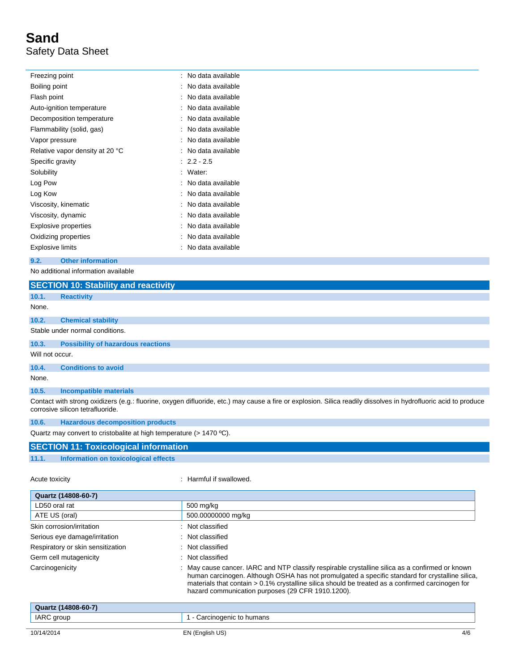| Freezing point                  | : No data available |
|---------------------------------|---------------------|
| Boiling point                   | No data available   |
| Flash point                     | No data available   |
| Auto-ignition temperature       | No data available   |
| Decomposition temperature       | No data available   |
| Flammability (solid, gas)       | No data available   |
| Vapor pressure                  | No data available   |
| Relative vapor density at 20 °C | No data available   |
| Specific gravity                | $: 2.2 - 2.5$       |
| Solubility                      | Water:              |
| Log Pow                         | No data available   |
| Log Kow                         | No data available   |
| Viscosity, kinematic            | : No data available |
| Viscosity, dynamic              | No data available   |
| <b>Explosive properties</b>     | No data available   |
| Oxidizing properties            | No data available   |
| <b>Explosive limits</b>         | No data available   |

Serious eye damage/irritation : Not classified

#### **9.2. Other information**

No additional information available

|                 | <b>SECTION 10: Stability and reactivity</b>                         |                                                                                                                                                                 |  |  |  |  |
|-----------------|---------------------------------------------------------------------|-----------------------------------------------------------------------------------------------------------------------------------------------------------------|--|--|--|--|
| 10.1.           | <b>Reactivity</b>                                                   |                                                                                                                                                                 |  |  |  |  |
| None.           |                                                                     |                                                                                                                                                                 |  |  |  |  |
| 10.2.           | <b>Chemical stability</b>                                           |                                                                                                                                                                 |  |  |  |  |
|                 | Stable under normal conditions.                                     |                                                                                                                                                                 |  |  |  |  |
| 10.3.           | <b>Possibility of hazardous reactions</b>                           |                                                                                                                                                                 |  |  |  |  |
| Will not occur. |                                                                     |                                                                                                                                                                 |  |  |  |  |
| 10.4.           | <b>Conditions to avoid</b>                                          |                                                                                                                                                                 |  |  |  |  |
| None.           |                                                                     |                                                                                                                                                                 |  |  |  |  |
| 10.5.           | <b>Incompatible materials</b>                                       |                                                                                                                                                                 |  |  |  |  |
|                 | corrosive silicon tetrafluoride.                                    | Contact with strong oxidizers (e.g.: fluorine, oxygen difluoride, etc.) may cause a fire or explosion. Silica readily dissolves in hydrofluoric acid to produce |  |  |  |  |
| 10.6.           | <b>Hazardous decomposition products</b>                             |                                                                                                                                                                 |  |  |  |  |
|                 | Quartz may convert to cristobalite at high temperature (> 1470 °C). |                                                                                                                                                                 |  |  |  |  |
|                 | <b>SECTION 11: Toxicological information</b>                        |                                                                                                                                                                 |  |  |  |  |
| 11.1.           | Information on toxicological effects                                |                                                                                                                                                                 |  |  |  |  |
| Acute toxicity  |                                                                     | Harmful if swallowed.                                                                                                                                           |  |  |  |  |
|                 | Quartz (14808-60-7)                                                 |                                                                                                                                                                 |  |  |  |  |
| LD50 oral rat   |                                                                     | 500 mg/kg                                                                                                                                                       |  |  |  |  |
|                 | ATE US (oral)                                                       | 500.00000000 mg/kg                                                                                                                                              |  |  |  |  |
|                 | Skin corrosion/irritation                                           | Not classified                                                                                                                                                  |  |  |  |  |

Respiratory or skin sensitization : Not classified Germ cell mutagenicity **Second Contract Contract Contract Contract Contract Contract Contract Contract Contract Contract Contract Contract Contract Contract Contract Contract Contract Contract Contract Contract Contract Co** Carcinogenicity **Starting Carcinogenicity** : May cause cancer. IARC and NTP classify respirable crystalline silica as a confirmed or known human carcinogen. Although OSHA has not promulgated a specific standard for crystalline silica, materials that contain > 0.1% crystalline silica should be treated as a confirmed carcinogen for hazard communication purposes (29 CFR 1910.1200). **Quartz (14808-60-7)** IARC group 1 - Carcinogenic to humans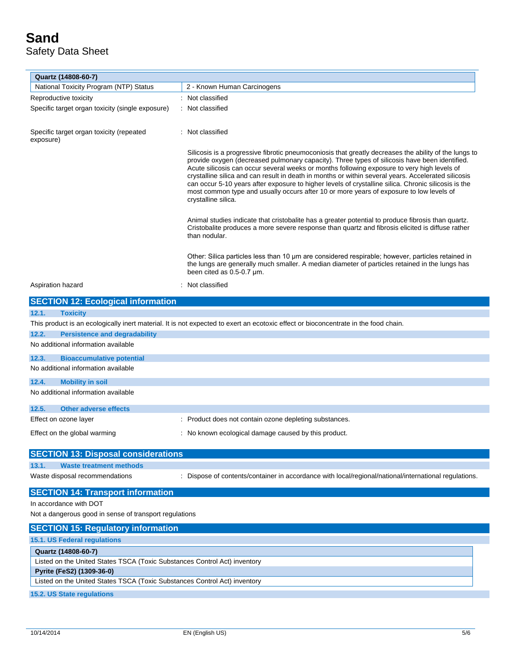| Quartz (14808-60-7)                                                       |                                                                                                                                                                                                                                                                                                                                                                                                                                                                                                                                                                                                                                        |
|---------------------------------------------------------------------------|----------------------------------------------------------------------------------------------------------------------------------------------------------------------------------------------------------------------------------------------------------------------------------------------------------------------------------------------------------------------------------------------------------------------------------------------------------------------------------------------------------------------------------------------------------------------------------------------------------------------------------------|
| National Toxicity Program (NTP) Status                                    | 2 - Known Human Carcinogens                                                                                                                                                                                                                                                                                                                                                                                                                                                                                                                                                                                                            |
| Reproductive toxicity                                                     | : Not classified                                                                                                                                                                                                                                                                                                                                                                                                                                                                                                                                                                                                                       |
| Specific target organ toxicity (single exposure)                          | : Not classified                                                                                                                                                                                                                                                                                                                                                                                                                                                                                                                                                                                                                       |
| Specific target organ toxicity (repeated<br>exposure)                     | : Not classified                                                                                                                                                                                                                                                                                                                                                                                                                                                                                                                                                                                                                       |
|                                                                           | Silicosis is a progressive fibrotic pneumoconiosis that greatly decreases the ability of the lungs to<br>provide oxygen (decreased pulmonary capacity). Three types of silicosis have been identified.<br>Acute silicosis can occur several weeks or months following exposure to very high levels of<br>crystalline silica and can result in death in months or within several years. Accelerated silicosis<br>can occur 5-10 years after exposure to higher levels of crystalline silica. Chronic silicosis is the<br>most common type and usually occurs after 10 or more years of exposure to low levels of<br>crystalline silica. |
|                                                                           | Animal studies indicate that cristobalite has a greater potential to produce fibrosis than quartz.<br>Cristobalite produces a more severe response than quartz and fibrosis elicited is diffuse rather<br>than nodular.                                                                                                                                                                                                                                                                                                                                                                                                                |
|                                                                           | Other: Silica particles less than 10 um are considered respirable; however, particles retained in<br>the lungs are generally much smaller. A median diameter of particles retained in the lungs has<br>been cited as 0.5-0.7 um.                                                                                                                                                                                                                                                                                                                                                                                                       |
| Aspiration hazard                                                         | Not classified                                                                                                                                                                                                                                                                                                                                                                                                                                                                                                                                                                                                                         |
| <b>SECTION 12: Ecological information</b>                                 |                                                                                                                                                                                                                                                                                                                                                                                                                                                                                                                                                                                                                                        |
| 12.1.<br><b>Toxicity</b>                                                  |                                                                                                                                                                                                                                                                                                                                                                                                                                                                                                                                                                                                                                        |
|                                                                           | This product is an ecologically inert material. It is not expected to exert an ecotoxic effect or bioconcentrate in the food chain.                                                                                                                                                                                                                                                                                                                                                                                                                                                                                                    |
| 12.2.<br><b>Persistence and degradability</b>                             |                                                                                                                                                                                                                                                                                                                                                                                                                                                                                                                                                                                                                                        |
| No additional information available                                       |                                                                                                                                                                                                                                                                                                                                                                                                                                                                                                                                                                                                                                        |
| 12.3.<br><b>Bioaccumulative potential</b>                                 |                                                                                                                                                                                                                                                                                                                                                                                                                                                                                                                                                                                                                                        |
| No additional information available                                       |                                                                                                                                                                                                                                                                                                                                                                                                                                                                                                                                                                                                                                        |
| 12.4.<br><b>Mobility in soil</b>                                          |                                                                                                                                                                                                                                                                                                                                                                                                                                                                                                                                                                                                                                        |
| No additional information available                                       |                                                                                                                                                                                                                                                                                                                                                                                                                                                                                                                                                                                                                                        |
|                                                                           |                                                                                                                                                                                                                                                                                                                                                                                                                                                                                                                                                                                                                                        |
| 12.5.<br><b>Other adverse effects</b>                                     |                                                                                                                                                                                                                                                                                                                                                                                                                                                                                                                                                                                                                                        |
| Effect on ozone layer                                                     | : Product does not contain ozone depleting substances.                                                                                                                                                                                                                                                                                                                                                                                                                                                                                                                                                                                 |
| Effect on the global warming                                              | : No known ecological damage caused by this product.                                                                                                                                                                                                                                                                                                                                                                                                                                                                                                                                                                                   |
|                                                                           |                                                                                                                                                                                                                                                                                                                                                                                                                                                                                                                                                                                                                                        |
| <b>SECTION 13: Disposal considerations</b>                                |                                                                                                                                                                                                                                                                                                                                                                                                                                                                                                                                                                                                                                        |
| 13.1.<br><b>Waste treatment methods</b>                                   |                                                                                                                                                                                                                                                                                                                                                                                                                                                                                                                                                                                                                                        |
| Waste disposal recommendations                                            | : Dispose of contents/container in accordance with local/regional/national/international regulations.                                                                                                                                                                                                                                                                                                                                                                                                                                                                                                                                  |
| <b>SECTION 14: Transport information</b>                                  |                                                                                                                                                                                                                                                                                                                                                                                                                                                                                                                                                                                                                                        |
| In accordance with DOT                                                    |                                                                                                                                                                                                                                                                                                                                                                                                                                                                                                                                                                                                                                        |
| Not a dangerous good in sense of transport regulations                    |                                                                                                                                                                                                                                                                                                                                                                                                                                                                                                                                                                                                                                        |
| <b>SECTION 15: Regulatory information</b>                                 |                                                                                                                                                                                                                                                                                                                                                                                                                                                                                                                                                                                                                                        |
| 15.1. US Federal regulations                                              |                                                                                                                                                                                                                                                                                                                                                                                                                                                                                                                                                                                                                                        |
| Quartz (14808-60-7)                                                       |                                                                                                                                                                                                                                                                                                                                                                                                                                                                                                                                                                                                                                        |
| Listed on the United States TSCA (Toxic Substances Control Act) inventory |                                                                                                                                                                                                                                                                                                                                                                                                                                                                                                                                                                                                                                        |
| Pyrite (FeS2) (1309-36-0)                                                 |                                                                                                                                                                                                                                                                                                                                                                                                                                                                                                                                                                                                                                        |
| Listed on the United States TSCA (Toxic Substances Control Act) inventory |                                                                                                                                                                                                                                                                                                                                                                                                                                                                                                                                                                                                                                        |
| 15.2. US State regulations                                                |                                                                                                                                                                                                                                                                                                                                                                                                                                                                                                                                                                                                                                        |